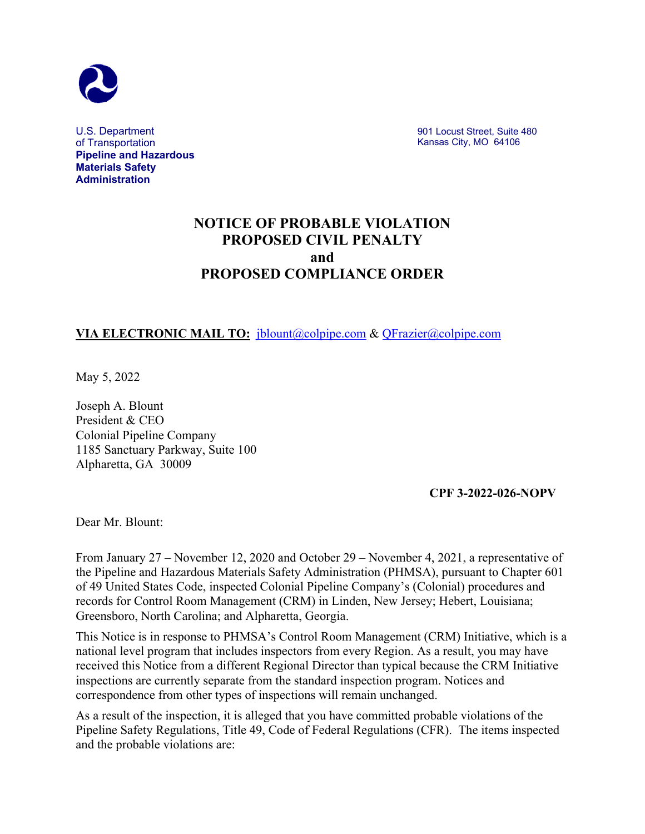

U.S. Department of Transportation **Pipeline and Hazardous Materials Safety Administration**

901 Locust Street, Suite 480 Kansas City, MO 64106

# **NOTICE OF PROBABLE VIOLATION PROPOSED CIVIL PENALTY and PROPOSED COMPLIANCE ORDER**

# **VIA ELECTRONIC MAIL TO:** [jblount@colpipe.com](mailto:jblount@colpipe.com) & [QFrazier@colpipe.com](mailto:QFrazier@colpipe.com)

May 5, 2022

Joseph A. Blount President & CEO Colonial Pipeline Company 1185 Sanctuary Parkway, Suite 100 Alpharetta, GA 30009

**CPF 3-2022-026-NOPV**

Dear Mr. Blount:

From January 27 – November 12, 2020 and October 29 – November 4, 2021, a representative of the Pipeline and Hazardous Materials Safety Administration (PHMSA), pursuant to Chapter 601 of 49 United States Code, inspected Colonial Pipeline Company's (Colonial) procedures and records for Control Room Management (CRM) in Linden, New Jersey; Hebert, Louisiana; Greensboro, North Carolina; and Alpharetta, Georgia.

This Notice is in response to PHMSA's Control Room Management (CRM) Initiative, which is a national level program that includes inspectors from every Region. As a result, you may have received this Notice from a different Regional Director than typical because the CRM Initiative inspections are currently separate from the standard inspection program. Notices and correspondence from other types of inspections will remain unchanged.

As a result of the inspection, it is alleged that you have committed probable violations of the Pipeline Safety Regulations, Title 49, Code of Federal Regulations (CFR). The items inspected and the probable violations are: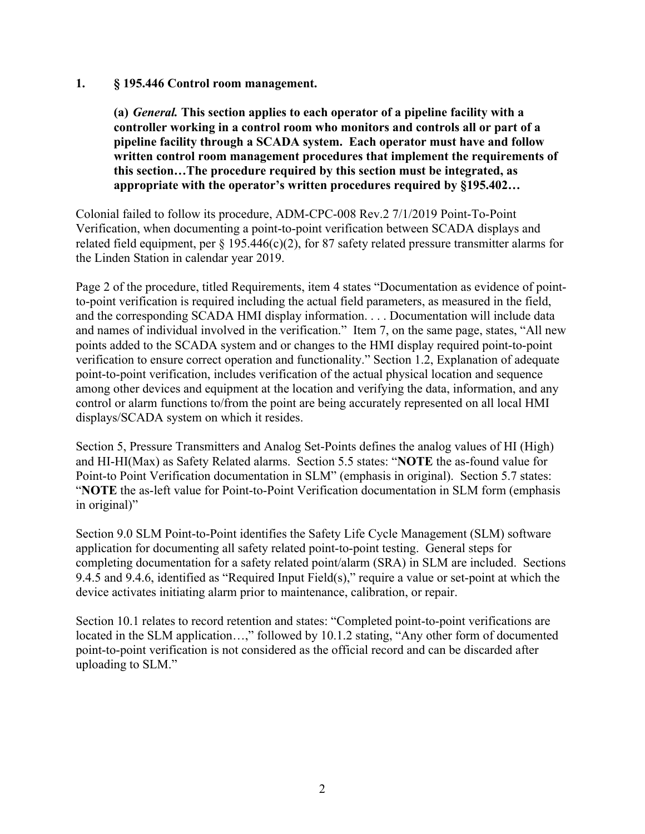#### **1. § 195.446 Control room management.**

**(a)** *General.* **This section applies to each operator of a pipeline facility with a controller working in a control room who monitors and controls all or part of a pipeline facility through a SCADA system. Each operator must have and follow written control room management procedures that implement the requirements of this section…The procedure required by this section must be integrated, as appropriate with the operator's written procedures required by §195.402…**

Colonial failed to follow its procedure, ADM-CPC-008 Rev.2 7/1/2019 Point-To-Point Verification, when documenting a point-to-point verification between SCADA displays and related field equipment, per  $\S 195.446(c)(2)$ , for 87 safety related pressure transmitter alarms for the Linden Station in calendar year 2019.

Page 2 of the procedure, titled Requirements, item 4 states "Documentation as evidence of pointto-point verification is required including the actual field parameters, as measured in the field, and the corresponding SCADA HMI display information. . . . Documentation will include data and names of individual involved in the verification." Item 7, on the same page, states, "All new points added to the SCADA system and or changes to the HMI display required point-to-point verification to ensure correct operation and functionality." Section 1.2, Explanation of adequate point-to-point verification, includes verification of the actual physical location and sequence among other devices and equipment at the location and verifying the data, information, and any control or alarm functions to/from the point are being accurately represented on all local HMI displays/SCADA system on which it resides.

Section 5, Pressure Transmitters and Analog Set-Points defines the analog values of HI (High) and HI-HI(Max) as Safety Related alarms. Section 5.5 states: "**NOTE** the as-found value for Point-to Point Verification documentation in SLM" (emphasis in original). Section 5.7 states: "**NOTE** the as-left value for Point-to-Point Verification documentation in SLM form (emphasis in original)"

Section 9.0 SLM Point-to-Point identifies the Safety Life Cycle Management (SLM) software application for documenting all safety related point-to-point testing. General steps for completing documentation for a safety related point/alarm (SRA) in SLM are included. Sections 9.4.5 and 9.4.6, identified as "Required Input Field(s)," require a value or set-point at which the device activates initiating alarm prior to maintenance, calibration, or repair.

Section 10.1 relates to record retention and states: "Completed point-to-point verifications are located in the SLM application…," followed by 10.1.2 stating, "Any other form of documented point-to-point verification is not considered as the official record and can be discarded after uploading to SLM."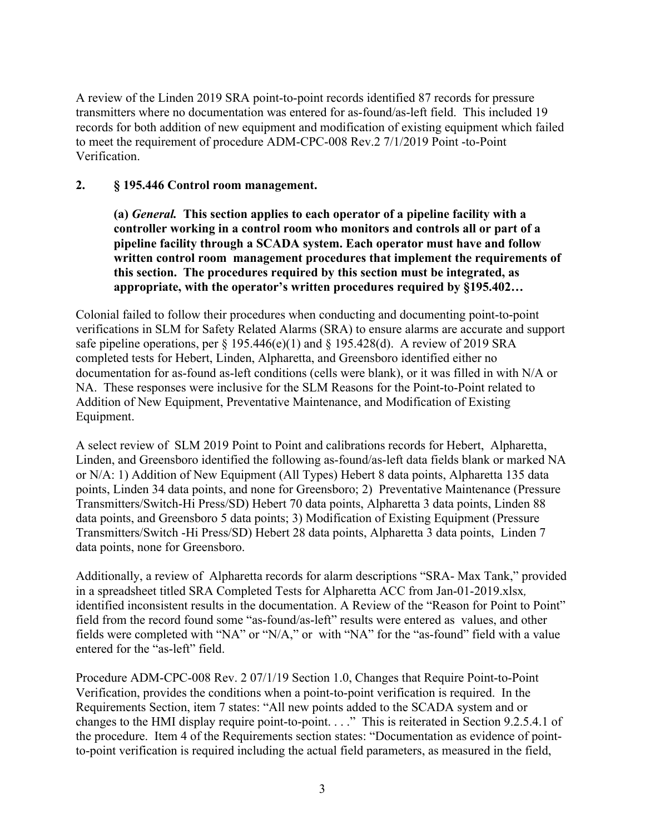A review of the Linden 2019 SRA point-to-point records identified 87 records for pressure transmitters where no documentation was entered for as-found/as-left field. This included 19 records for both addition of new equipment and modification of existing equipment which failed to meet the requirement of procedure ADM-CPC-008 Rev.2 7/1/2019 Point -to-Point Verification.

## **2. § 195.446 Control room management.**

**(a)** *General.* **This section applies to each operator of a pipeline facility with a controller working in a control room who monitors and controls all or part of a pipeline facility through a SCADA system. Each operator must have and follow written control room management procedures that implement the requirements of this section. The procedures required by this section must be integrated, as appropriate, with the operator's written procedures required by §195.402…** 

Colonial failed to follow their procedures when conducting and documenting point-to-point verifications in SLM for Safety Related Alarms (SRA) to ensure alarms are accurate and support safe pipeline operations, per  $\S 195.446(e)(1)$  and  $\S 195.428(d)$ . A review of 2019 SRA completed tests for Hebert, Linden, Alpharetta, and Greensboro identified either no documentation for as-found as-left conditions (cells were blank), or it was filled in with N/A or NA. These responses were inclusive for the SLM Reasons for the Point-to-Point related to Addition of New Equipment, Preventative Maintenance, and Modification of Existing Equipment.

A select review of SLM 2019 Point to Point and calibrations records for Hebert, Alpharetta, Linden, and Greensboro identified the following as-found/as-left data fields blank or marked NA or N/A: 1) Addition of New Equipment (All Types) Hebert 8 data points, Alpharetta 135 data points, Linden 34 data points, and none for Greensboro; 2) Preventative Maintenance (Pressure Transmitters/Switch-Hi Press/SD) Hebert 70 data points, Alpharetta 3 data points, Linden 88 data points, and Greensboro 5 data points; 3) Modification of Existing Equipment (Pressure Transmitters/Switch -Hi Press/SD) Hebert 28 data points, Alpharetta 3 data points, Linden 7 data points, none for Greensboro.

Additionally, a review of Alpharetta records for alarm descriptions "SRA- Max Tank," provided in a spreadsheet titled SRA Completed Tests for Alpharetta ACC from Jan-01-2019.xlsx*,* identified inconsistent results in the documentation. A Review of the "Reason for Point to Point" field from the record found some "as-found/as-left" results were entered as values, and other fields were completed with "NA" or "N/A," or with "NA" for the "as-found" field with a value entered for the "as-left" field.

Procedure ADM-CPC-008 Rev. 2 07/1/19 Section 1.0, Changes that Require Point-to-Point Verification, provides the conditions when a point-to-point verification is required. In the Requirements Section, item 7 states: "All new points added to the SCADA system and or changes to the HMI display require point-to-point. . . ." This is reiterated in Section 9.2.5.4.1 of the procedure. Item 4 of the Requirements section states: "Documentation as evidence of pointto-point verification is required including the actual field parameters, as measured in the field,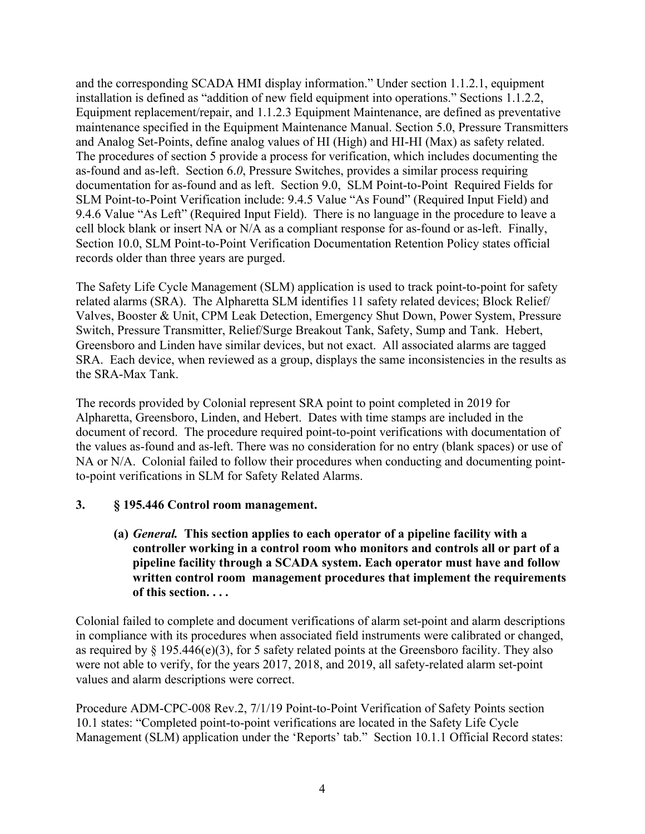and the corresponding SCADA HMI display information." Under section 1.1.2.1, equipment installation is defined as "addition of new field equipment into operations." Sections 1.1.2.2, Equipment replacement/repair, and 1.1.2.3 Equipment Maintenance, are defined as preventative maintenance specified in the Equipment Maintenance Manual. Section 5.0, Pressure Transmitters and Analog Set-Points, define analog values of HI (High) and HI-HI (Max) as safety related. The procedures of section 5 provide a process for verification, which includes documenting the as-found and as-left. Section 6.*0*, Pressure Switches, provides a similar process requiring documentation for as-found and as left. Section 9.0, SLM Point-to-Point Required Fields for SLM Point-to-Point Verification include: 9.4.5 Value "As Found" (Required Input Field) and 9.4.6 Value "As Left" (Required Input Field). There is no language in the procedure to leave a cell block blank or insert NA or N/A as a compliant response for as-found or as-left. Finally, Section 10.0, SLM Point-to-Point Verification Documentation Retention Policy states official records older than three years are purged.

The Safety Life Cycle Management (SLM) application is used to track point-to-point for safety related alarms (SRA). The Alpharetta SLM identifies 11 safety related devices; Block Relief/ Valves, Booster & Unit, CPM Leak Detection, Emergency Shut Down, Power System, Pressure Switch, Pressure Transmitter, Relief/Surge Breakout Tank, Safety, Sump and Tank. Hebert, Greensboro and Linden have similar devices, but not exact. All associated alarms are tagged SRA. Each device, when reviewed as a group, displays the same inconsistencies in the results as the SRA-Max Tank.

The records provided by Colonial represent SRA point to point completed in 2019 for Alpharetta, Greensboro, Linden, and Hebert. Dates with time stamps are included in the document of record. The procedure required point-to-point verifications with documentation of the values as-found and as-left. There was no consideration for no entry (blank spaces) or use of NA or N/A. Colonial failed to follow their procedures when conducting and documenting pointto-point verifications in SLM for Safety Related Alarms.

# **3. § 195.446 Control room management.**

**(a)** *General.* **This section applies to each operator of a pipeline facility with a controller working in a control room who monitors and controls all or part of a pipeline facility through a SCADA system. Each operator must have and follow written control room management procedures that implement the requirements of this section. . . .**

Colonial failed to complete and document verifications of alarm set-point and alarm descriptions in compliance with its procedures when associated field instruments were calibrated or changed, as required by  $\S$  195.446(e)(3), for 5 safety related points at the Greensboro facility. They also were not able to verify, for the years 2017, 2018, and 2019, all safety-related alarm set-point values and alarm descriptions were correct.

Procedure ADM-CPC-008 Rev.2, 7/1/19 Point-to-Point Verification of Safety Points section 10.1 states: "Completed point-to-point verifications are located in the Safety Life Cycle Management (SLM) application under the 'Reports' tab." Section 10.1.1 Official Record states: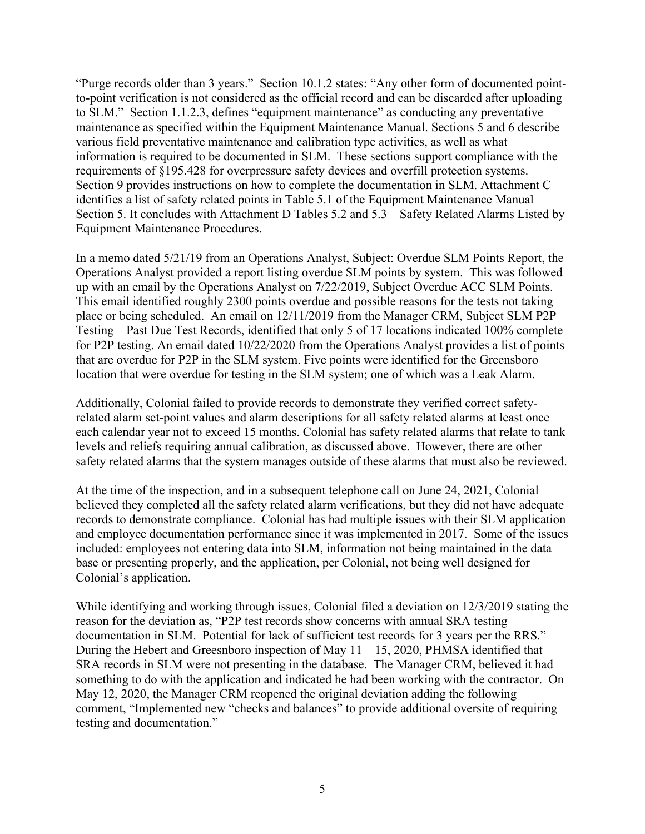"Purge records older than 3 years." Section 10.1.2 states: "Any other form of documented pointto-point verification is not considered as the official record and can be discarded after uploading to SLM." Section 1.1.2.3, defines "equipment maintenance" as conducting any preventative maintenance as specified within the Equipment Maintenance Manual. Sections 5 and 6 describe various field preventative maintenance and calibration type activities, as well as what information is required to be documented in SLM. These sections support compliance with the requirements of §195.428 for overpressure safety devices and overfill protection systems. Section 9 provides instructions on how to complete the documentation in SLM. Attachment C identifies a list of safety related points in Table 5.1 of the Equipment Maintenance Manual Section 5. It concludes with Attachment D Tables 5.2 and 5.3 – Safety Related Alarms Listed by Equipment Maintenance Procedures.

In a memo dated 5/21/19 from an Operations Analyst, Subject: Overdue SLM Points Report, the Operations Analyst provided a report listing overdue SLM points by system. This was followed up with an email by the Operations Analyst on 7/22/2019, Subject Overdue ACC SLM Points. This email identified roughly 2300 points overdue and possible reasons for the tests not taking place or being scheduled. An email on 12/11/2019 from the Manager CRM, Subject SLM P2P Testing – Past Due Test Records, identified that only 5 of 17 locations indicated 100% complete for P2P testing. An email dated 10/22/2020 from the Operations Analyst provides a list of points that are overdue for P2P in the SLM system. Five points were identified for the Greensboro location that were overdue for testing in the SLM system; one of which was a Leak Alarm.

Additionally, Colonial failed to provide records to demonstrate they verified correct safetyrelated alarm set-point values and alarm descriptions for all safety related alarms at least once each calendar year not to exceed 15 months. Colonial has safety related alarms that relate to tank levels and reliefs requiring annual calibration, as discussed above. However, there are other safety related alarms that the system manages outside of these alarms that must also be reviewed.

At the time of the inspection, and in a subsequent telephone call on June 24, 2021, Colonial believed they completed all the safety related alarm verifications, but they did not have adequate records to demonstrate compliance. Colonial has had multiple issues with their SLM application and employee documentation performance since it was implemented in 2017. Some of the issues included: employees not entering data into SLM, information not being maintained in the data base or presenting properly, and the application, per Colonial, not being well designed for Colonial's application.

While identifying and working through issues, Colonial filed a deviation on 12/3/2019 stating the reason for the deviation as, "P2P test records show concerns with annual SRA testing documentation in SLM. Potential for lack of sufficient test records for 3 years per the RRS." During the Hebert and Greesnboro inspection of May  $11 - 15$ , 2020, PHMSA identified that SRA records in SLM were not presenting in the database. The Manager CRM, believed it had something to do with the application and indicated he had been working with the contractor. On May 12, 2020, the Manager CRM reopened the original deviation adding the following comment, "Implemented new "checks and balances" to provide additional oversite of requiring testing and documentation."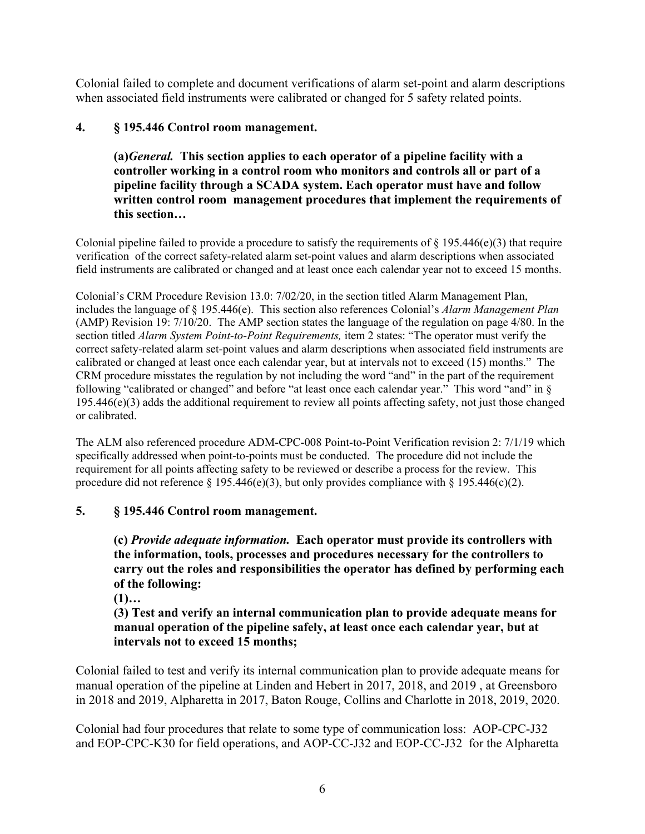Colonial failed to complete and document verifications of alarm set-point and alarm descriptions when associated field instruments were calibrated or changed for 5 safety related points.

# **4. § 195.446 Control room management.**

**(a)***General.* **This section applies to each operator of a pipeline facility with a controller working in a control room who monitors and controls all or part of a pipeline facility through a SCADA system. Each operator must have and follow written control room management procedures that implement the requirements of this section…**

Colonial pipeline failed to provide a procedure to satisfy the requirements of  $\S 195.446(e)(3)$  that require verification of the correct safety-related alarm set-point values and alarm descriptions when associated field instruments are calibrated or changed and at least once each calendar year not to exceed 15 months.

Colonial's CRM Procedure Revision 13.0: 7/02/20, in the section titled Alarm Management Plan, includes the language of § 195.446(e). This section also references Colonial's *Alarm Management Plan* (AMP) Revision 19: 7/10/20. The AMP section states the language of the regulation on page 4/80. In the section titled *Alarm System Point-to-Point Requirements,* item 2 states: "The operator must verify the correct safety-related alarm set-point values and alarm descriptions when associated field instruments are calibrated or changed at least once each calendar year, but at intervals not to exceed (15) months." The CRM procedure misstates the regulation by not including the word "and" in the part of the requirement following "calibrated or changed" and before "at least once each calendar year." This word "and" in § 195.446(e)(3) adds the additional requirement to review all points affecting safety, not just those changed or calibrated.

The ALM also referenced procedure ADM-CPC-008 Point-to-Point Verification revision 2: 7/1/19 which specifically addressed when point-to-points must be conducted. The procedure did not include the requirement for all points affecting safety to be reviewed or describe a process for the review. This procedure did not reference  $\S 195.446(e)(3)$ , but only provides compliance with  $\S 195.446(c)(2)$ .

# **5. § 195.446 Control room management.**

**(c)** *Provide adequate information.* **Each operator must provide its controllers with the information, tools, processes and procedures necessary for the controllers to carry out the roles and responsibilities the operator has defined by performing each of the following:**

**(1)…**

**(3) Test and verify an internal communication plan to provide adequate means for manual operation of the pipeline safely, at least once each calendar year, but at intervals not to exceed 15 months;**

Colonial failed to test and verify its internal communication plan to provide adequate means for manual operation of the pipeline at Linden and Hebert in 2017, 2018, and 2019 , at Greensboro in 2018 and 2019, Alpharetta in 2017, Baton Rouge, Collins and Charlotte in 2018, 2019, 2020.

Colonial had four procedures that relate to some type of communication loss: AOP-CPC-J32 and EOP-CPC-K30 for field operations, and AOP-CC-J32 and EOP-CC-J32 for the Alpharetta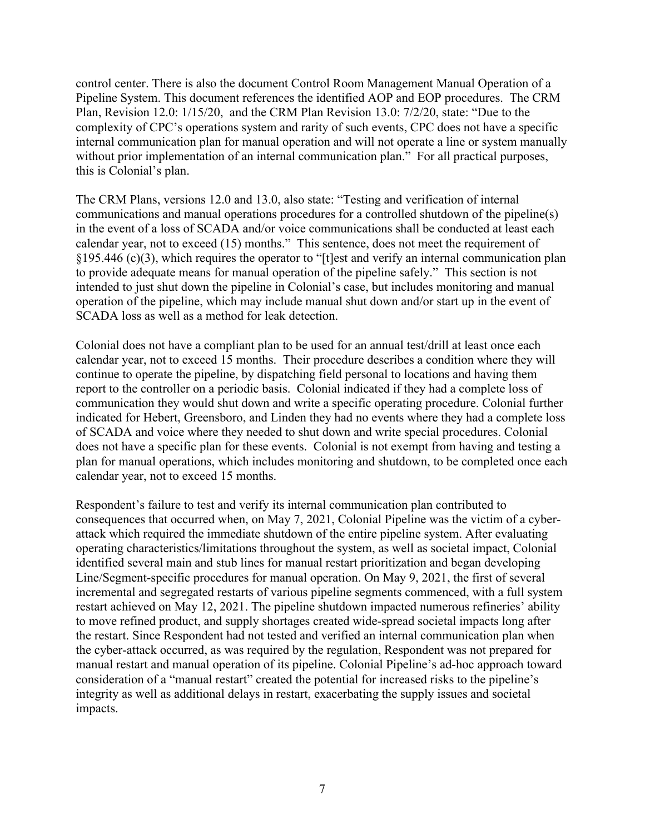control center. There is also the document Control Room Management Manual Operation of a Pipeline System. This document references the identified AOP and EOP procedures. The CRM Plan, Revision 12.0: 1/15/20, and the CRM Plan Revision 13.0: 7/2/20, state: "Due to the complexity of CPC's operations system and rarity of such events, CPC does not have a specific internal communication plan for manual operation and will not operate a line or system manually without prior implementation of an internal communication plan." For all practical purposes, this is Colonial's plan.

The CRM Plans, versions 12.0 and 13.0, also state: "Testing and verification of internal communications and manual operations procedures for a controlled shutdown of the pipeline(s) in the event of a loss of SCADA and/or voice communications shall be conducted at least each calendar year, not to exceed (15) months." This sentence, does not meet the requirement of §195.446 (c)(3), which requires the operator to "[t]est and verify an internal communication plan to provide adequate means for manual operation of the pipeline safely." This section is not intended to just shut down the pipeline in Colonial's case, but includes monitoring and manual operation of the pipeline, which may include manual shut down and/or start up in the event of SCADA loss as well as a method for leak detection.

Colonial does not have a compliant plan to be used for an annual test/drill at least once each calendar year, not to exceed 15 months. Their procedure describes a condition where they will continue to operate the pipeline, by dispatching field personal to locations and having them report to the controller on a periodic basis. Colonial indicated if they had a complete loss of communication they would shut down and write a specific operating procedure. Colonial further indicated for Hebert, Greensboro, and Linden they had no events where they had a complete loss of SCADA and voice where they needed to shut down and write special procedures. Colonial does not have a specific plan for these events. Colonial is not exempt from having and testing a plan for manual operations, which includes monitoring and shutdown, to be completed once each calendar year, not to exceed 15 months.

Respondent's failure to test and verify its internal communication plan contributed to consequences that occurred when, on May 7, 2021, Colonial Pipeline was the victim of a cyberattack which required the immediate shutdown of the entire pipeline system. After evaluating operating characteristics/limitations throughout the system, as well as societal impact, Colonial identified several main and stub lines for manual restart prioritization and began developing Line/Segment-specific procedures for manual operation. On May 9, 2021, the first of several incremental and segregated restarts of various pipeline segments commenced, with a full system restart achieved on May 12, 2021. The pipeline shutdown impacted numerous refineries' ability to move refined product, and supply shortages created wide-spread societal impacts long after the restart. Since Respondent had not tested and verified an internal communication plan when the cyber-attack occurred, as was required by the regulation, Respondent was not prepared for manual restart and manual operation of its pipeline. Colonial Pipeline's ad-hoc approach toward consideration of a "manual restart" created the potential for increased risks to the pipeline's integrity as well as additional delays in restart, exacerbating the supply issues and societal impacts.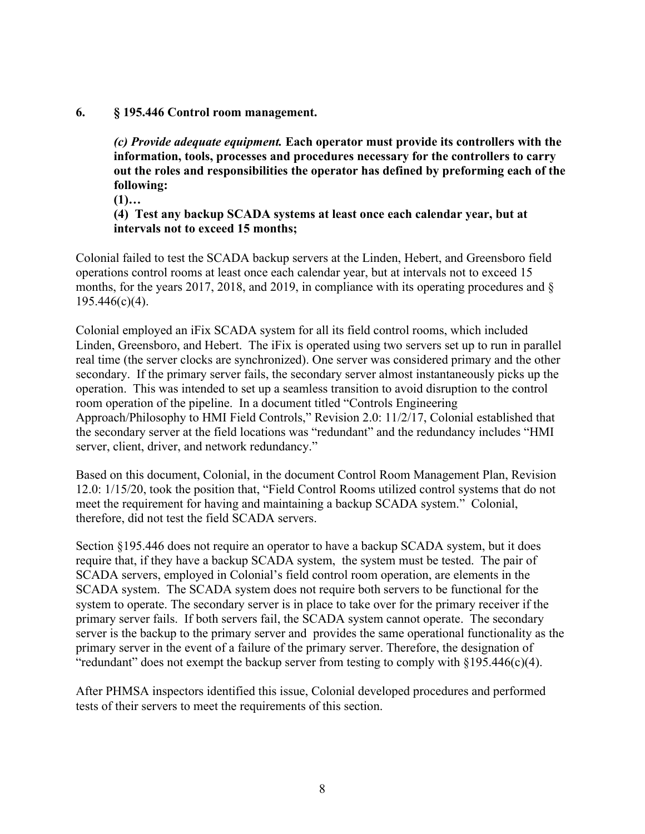#### **6. § 195.446 Control room management.**

*(c) Provide adequate equipment.* **Each operator must provide its controllers with the information, tools, processes and procedures necessary for the controllers to carry out the roles and responsibilities the operator has defined by preforming each of the following:**

**(1)…**

**(4) Test any backup SCADA systems at least once each calendar year, but at intervals not to exceed 15 months;** 

Colonial failed to test the SCADA backup servers at the Linden, Hebert, and Greensboro field operations control rooms at least once each calendar year, but at intervals not to exceed 15 months, for the years 2017, 2018, and 2019, in compliance with its operating procedures and § 195.446(c)(4).

Colonial employed an iFix SCADA system for all its field control rooms, which included Linden, Greensboro, and Hebert. The iFix is operated using two servers set up to run in parallel real time (the server clocks are synchronized). One server was considered primary and the other secondary. If the primary server fails, the secondary server almost instantaneously picks up the operation. This was intended to set up a seamless transition to avoid disruption to the control room operation of the pipeline. In a document titled "Controls Engineering Approach/Philosophy to HMI Field Controls," Revision 2.0: 11/2/17, Colonial established that the secondary server at the field locations was "redundant" and the redundancy includes "HMI server, client, driver, and network redundancy."

Based on this document, Colonial, in the document Control Room Management Plan, Revision 12.0: 1/15/20, took the position that, "Field Control Rooms utilized control systems that do not meet the requirement for having and maintaining a backup SCADA system." Colonial, therefore, did not test the field SCADA servers.

Section §195.446 does not require an operator to have a backup SCADA system, but it does require that, if they have a backup SCADA system, the system must be tested. The pair of SCADA servers, employed in Colonial's field control room operation, are elements in the SCADA system. The SCADA system does not require both servers to be functional for the system to operate. The secondary server is in place to take over for the primary receiver if the primary server fails. If both servers fail, the SCADA system cannot operate. The secondary server is the backup to the primary server and provides the same operational functionality as the primary server in the event of a failure of the primary server. Therefore, the designation of "redundant" does not exempt the backup server from testing to comply with §195.446(c)(4).

After PHMSA inspectors identified this issue, Colonial developed procedures and performed tests of their servers to meet the requirements of this section.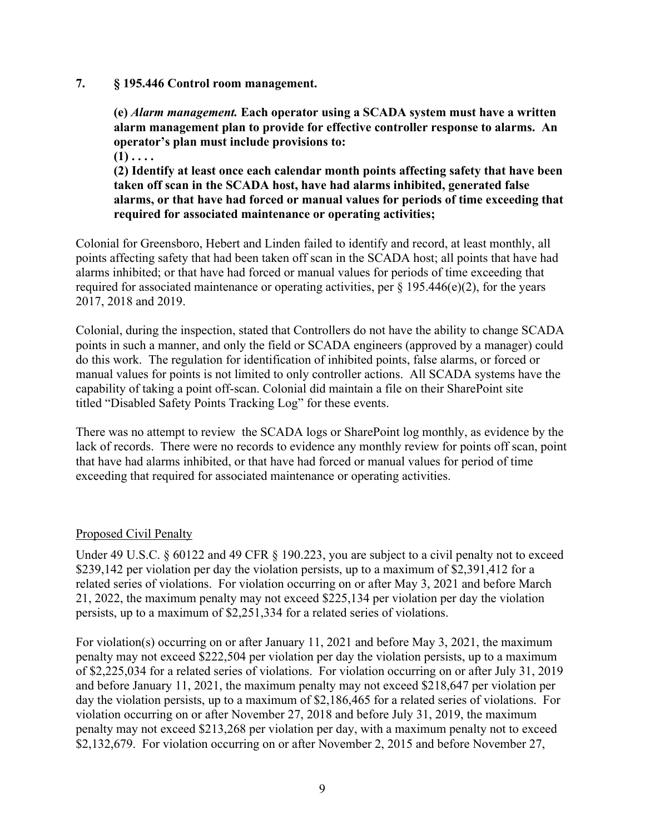#### **7. § 195.446 Control room management.**

**(e)** *Alarm management.* **Each operator using a SCADA system must have a written alarm management plan to provide for effective controller response to alarms. An operator's plan must include provisions to:**

**(1) . . . .**

**(2) Identify at least once each calendar month points affecting safety that have been taken off scan in the SCADA host, have had alarms inhibited, generated false alarms, or that have had forced or manual values for periods of time exceeding that required for associated maintenance or operating activities;**

Colonial for Greensboro, Hebert and Linden failed to identify and record, at least monthly, all points affecting safety that had been taken off scan in the SCADA host; all points that have had alarms inhibited; or that have had forced or manual values for periods of time exceeding that required for associated maintenance or operating activities, per  $\S 195.446(e)(2)$ , for the years 2017, 2018 and 2019.

Colonial, during the inspection, stated that Controllers do not have the ability to change SCADA points in such a manner, and only the field or SCADA engineers (approved by a manager) could do this work. The regulation for identification of inhibited points, false alarms, or forced or manual values for points is not limited to only controller actions. All SCADA systems have the capability of taking a point off-scan. Colonial did maintain a file on their SharePoint site titled "Disabled Safety Points Tracking Log" for these events.

There was no attempt to review the SCADA logs or SharePoint log monthly, as evidence by the lack of records. There were no records to evidence any monthly review for points off scan, point that have had alarms inhibited, or that have had forced or manual values for period of time exceeding that required for associated maintenance or operating activities.

#### Proposed Civil Penalty

Under 49 U.S.C. § 60122 and 49 CFR § 190.223, you are subject to a civil penalty not to exceed \$239,142 per violation per day the violation persists, up to a maximum of \$2,391,412 for a related series of violations. For violation occurring on or after May 3, 2021 and before March 21, 2022, the maximum penalty may not exceed \$225,134 per violation per day the violation persists, up to a maximum of \$2,251,334 for a related series of violations.

For violation(s) occurring on or after January 11, 2021 and before May 3, 2021, the maximum penalty may not exceed \$222,504 per violation per day the violation persists, up to a maximum of \$2,225,034 for a related series of violations. For violation occurring on or after July 31, 2019 and before January 11, 2021, the maximum penalty may not exceed \$218,647 per violation per day the violation persists, up to a maximum of \$2,186,465 for a related series of violations. For violation occurring on or after November 27, 2018 and before July 31, 2019, the maximum penalty may not exceed \$213,268 per violation per day, with a maximum penalty not to exceed \$2,132,679. For violation occurring on or after November 2, 2015 and before November 27,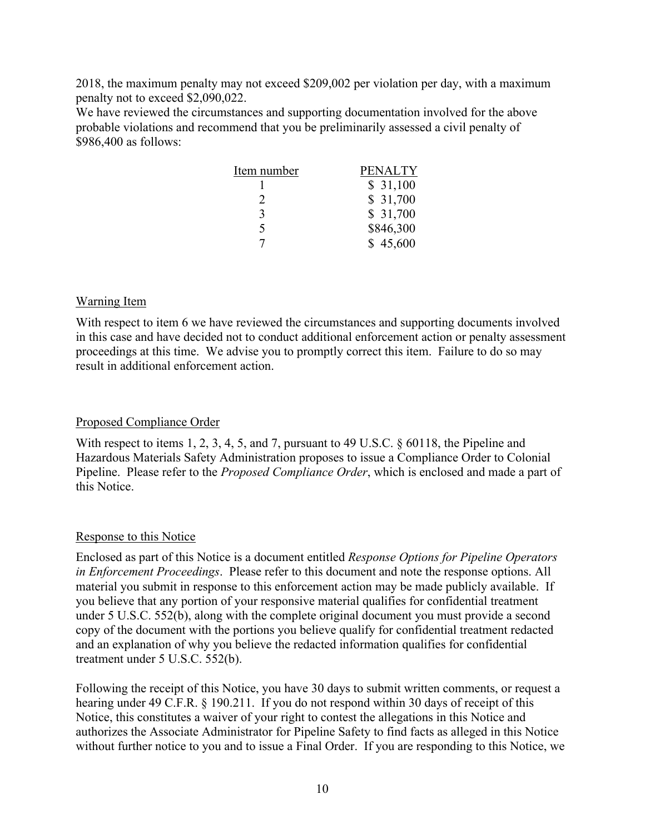2018, the maximum penalty may not exceed \$209,002 per violation per day, with a maximum penalty not to exceed \$2,090,022.

We have reviewed the circumstances and supporting documentation involved for the above probable violations and recommend that you be preliminarily assessed a civil penalty of \$986,400 as follows:

| Item number | PENALTY   |
|-------------|-----------|
|             | \$31,100  |
|             | \$31,700  |
| 3           | \$31,700  |
| 5           | \$846,300 |
|             | \$45,600  |

## Warning Item

With respect to item 6 we have reviewed the circumstances and supporting documents involved in this case and have decided not to conduct additional enforcement action or penalty assessment proceedings at this time. We advise you to promptly correct this item. Failure to do so may result in additional enforcement action.

# Proposed Compliance Order

With respect to items 1, 2, 3, 4, 5, and 7, pursuant to 49 U.S.C. § 60118, the Pipeline and Hazardous Materials Safety Administration proposes to issue a Compliance Order to Colonial Pipeline. Please refer to the *Proposed Compliance Order*, which is enclosed and made a part of this Notice.

#### Response to this Notice

Enclosed as part of this Notice is a document entitled *Response Options for Pipeline Operators in Enforcement Proceedings*. Please refer to this document and note the response options. All material you submit in response to this enforcement action may be made publicly available. If you believe that any portion of your responsive material qualifies for confidential treatment under 5 U.S.C. 552(b), along with the complete original document you must provide a second copy of the document with the portions you believe qualify for confidential treatment redacted and an explanation of why you believe the redacted information qualifies for confidential treatment under 5 U.S.C. 552(b).

Following the receipt of this Notice, you have 30 days to submit written comments, or request a hearing under 49 C.F.R. § 190.211. If you do not respond within 30 days of receipt of this Notice, this constitutes a waiver of your right to contest the allegations in this Notice and authorizes the Associate Administrator for Pipeline Safety to find facts as alleged in this Notice without further notice to you and to issue a Final Order. If you are responding to this Notice, we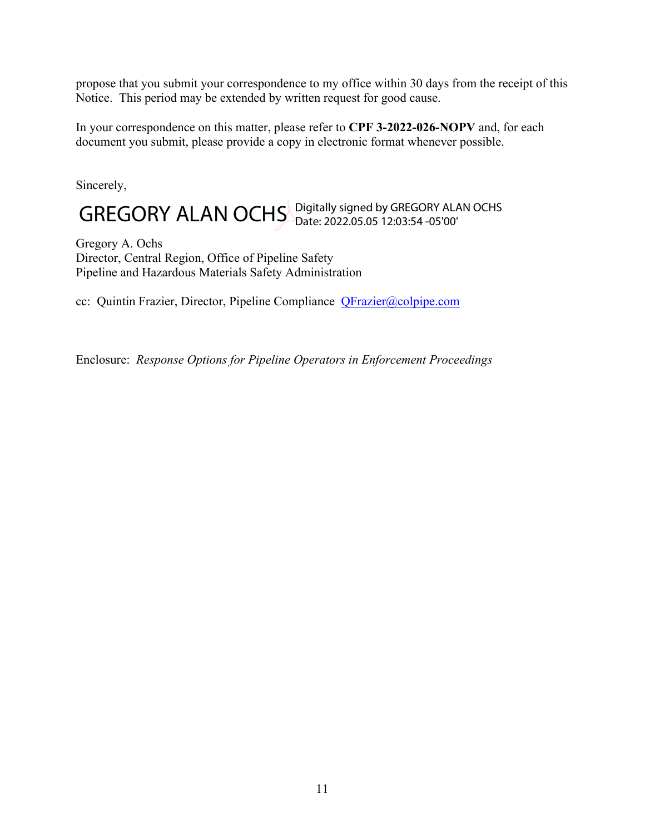propose that you submit your correspondence to my office within 30 days from the receipt of this Notice. This period may be extended by written request for good cause.

In your correspondence on this matter, please refer to **CPF 3-2022-026-NOPV** and, for each document you submit, please provide a copy in electronic format whenever possible.

Sincerely,

# GREGORY ALAN OCHS Digitally signed by GREGORY ALAN OCHS

Gregory A. Ochs Director, Central Region, Office of Pipeline Safety Pipeline and Hazardous Materials Safety Administration

cc: Quintin Frazier, Director, Pipeline Compliance [QFrazier@colpipe.com](mailto:QFrazier@colpipe.com)

Enclosure: *Response Options for Pipeline Operators in Enforcement Proceedings*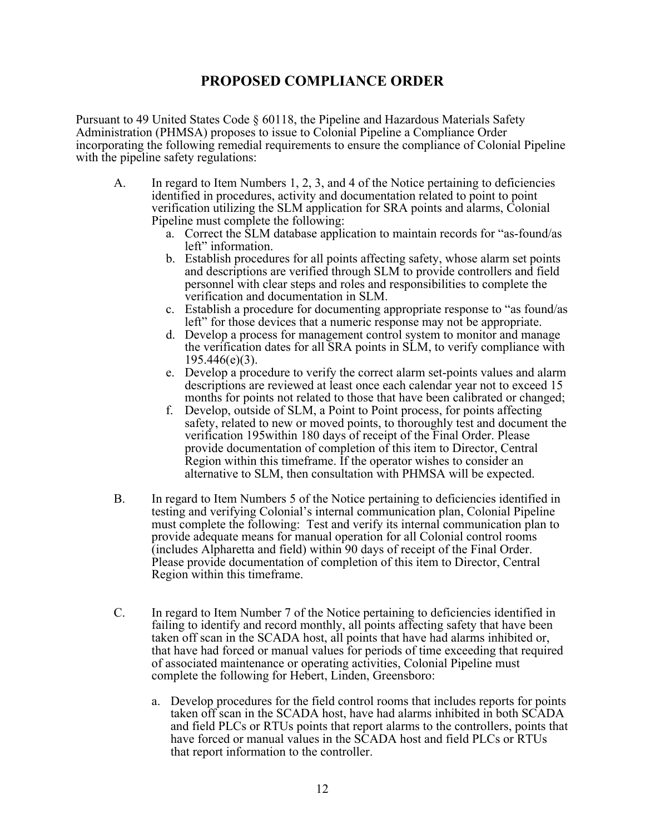# **PROPOSED COMPLIANCE ORDER**

Pursuant to 49 United States Code § 60118, the Pipeline and Hazardous Materials Safety Administration (PHMSA) proposes to issue to Colonial Pipeline a Compliance Order incorporating the following remedial requirements to ensure the compliance of Colonial Pipeline with the pipeline safety regulations:

- A. In regard to Item Numbers 1, 2, 3, and 4 of the Notice pertaining to deficiencies identified in procedures, activity and documentation related to point to point verification utilizing the SLM application for SRA points and alarms, Colonial Pipeline must complete the following:
	- a. Correct the SLM database application to maintain records for "as-found/as left" information.
	- b. Establish procedures for all points affecting safety, whose alarm set points and descriptions are verified through SLM to provide controllers and field personnel with clear steps and roles and responsibilities to complete the verification and documentation in SLM.
	- c. Establish a procedure for documenting appropriate response to "as found/as left" for those devices that a numeric response may not be appropriate.
	- d. Develop a process for management control system to monitor and manage the verification dates for all SRA points in SLM, to verify compliance with 195.446(e)(3).
	- e. Develop a procedure to verify the correct alarm set-points values and alarm descriptions are reviewed at least once each calendar year not to exceed 15 months for points not related to those that have been calibrated or changed;
	- f. Develop, outside of SLM, a Point to Point process, for points affecting safety, related to new or moved points, to thoroughly test and document the verification 195within 180 days of receipt of the Final Order. Please provide documentation of completion of this item to Director, Central Region within this timeframe. If the operator wishes to consider an alternative to SLM, then consultation with PHMSA will be expected.
- B. In regard to Item Numbers 5 of the Notice pertaining to deficiencies identified in testing and verifying Colonial's internal communication plan, Colonial Pipeline must complete the following: Test and verify its internal communication plan to provide adequate means for manual operation for all Colonial control rooms (includes Alpharetta and field) within 90 days of receipt of the Final Order. Please provide documentation of completion of this item to Director, Central Region within this timeframe.
- C. In regard to Item Number 7 of the Notice pertaining to deficiencies identified in failing to identify and record monthly, all points affecting safety that have been taken off scan in the SCADA host, all points that have had alarms inhibited or, that have had forced or manual values for periods of time exceeding that required of associated maintenance or operating activities, Colonial Pipeline must complete the following for Hebert, Linden, Greensboro:
	- a. Develop procedures for the field control rooms that includes reports for points taken off scan in the SCADA host, have had alarms inhibited in both SCADA and field PLCs or RTUs points that report alarms to the controllers, points that have forced or manual values in the SCADA host and field PLCs or RTUs that report information to the controller.